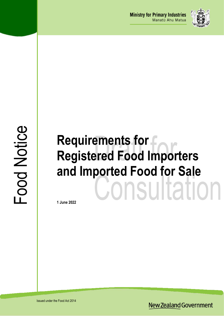

# Food Notice

# **Requirements for Registered Food Importers and Imported Food for Sale** Consultation

**1 June 2022**

Issued under the Food Act 2014

**New Zealand Government**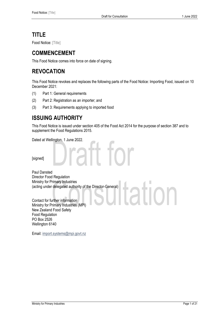# **TITLE**

Food Notice: [Title]

# **COMMENCEMENT**

This Food Notice comes into force on date of signing.

# **REVOCATION**

This Food Notice revokes and replaces the following parts of the Food Notice: Importing Food, issued on 10 December 2021:

- (1) Part 1: General requirements
- (2) Part 2: Registration as an importer; and
- (3) Part 3: Requirements applying to imported food

# **ISSUING AUTHORITY**

This Food Notice is issued under section 405 of the Food Act 2014 for the purpose of section 387 and to supplement the Food Regulations 2015.

tation

raft for

Dated at Wellington, 1 June 2022.

[signed]

Paul Dansted Director Food Regulation Ministry for Primary Industries (acting under delegated authority of the Director-General)

Contact for further information Ministry for Primary Industries (MPI) New Zealand Food Safety Food Regulation PO Box 2526 Wellington 6140

Email: import.systems@mpi.govt.nz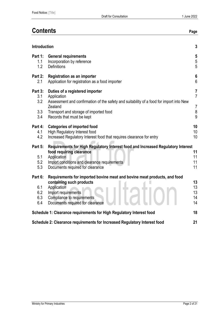# **Contents Page**

| $\mathbf{3}$<br><b>Introduction</b>                                             |                                                                                                                                                                                                                                                                                      |                                                                    |  |  |
|---------------------------------------------------------------------------------|--------------------------------------------------------------------------------------------------------------------------------------------------------------------------------------------------------------------------------------------------------------------------------------|--------------------------------------------------------------------|--|--|
| Part 1:<br>1.1<br>1.2                                                           | <b>General requirements</b><br>Incorporation by reference<br><b>Definitions</b>                                                                                                                                                                                                      | $\sqrt{5}$<br>$\sqrt{5}$<br>5                                      |  |  |
| Part 2:<br>2.1                                                                  | <b>Registration as an importer</b><br>Application for registration as a food importer                                                                                                                                                                                                | 6<br>6                                                             |  |  |
| Part 3:<br>3.1<br>3.2<br>3.3<br>3.4                                             | Duties of a registered importer<br>Application<br>Assessment and confirmation of the safety and suitability of a food for import into New<br>Zealand<br>Transport and storage of imported food<br>Records that must be kept                                                          | $\overline{7}$<br>$\overline{7}$<br>$\overline{7}$<br>$\bf 8$<br>9 |  |  |
| Part 4:<br>4.1<br>4.2                                                           | <b>Categories of imported food</b><br>High Regulatory Interest food<br>Increased Regulatory Interest food that requires clearance for entry                                                                                                                                          | 10<br>10<br>10 <sup>1</sup>                                        |  |  |
| Part 5:<br>5.1<br>5.2<br>5.3                                                    | Requirements for High Regulatory Interest food and Increased Regulatory Interest<br>food requiring clearance<br>Application<br>Import conditions and clearance requirements<br>Documents required for clearance                                                                      | 11<br>11<br>11<br>11                                               |  |  |
| Part 6:<br>6.1<br>6.2<br>6.3<br>6.4                                             | Requirements for imported bovine meat and bovine meat products, and food<br>containing such products<br>Application<br>Import requirements<br>Compliance to requirements<br>Documents required for clearance<br>Schedule 1: Clearance requirements for High Regulatory Interest food | 13<br>13<br>13<br>14<br>14<br>18                                   |  |  |
| Schedule 2: Clearance requirements for Increased Regulatory Interest food<br>21 |                                                                                                                                                                                                                                                                                      |                                                                    |  |  |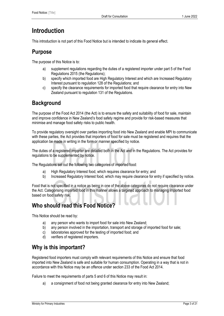# <span id="page-3-0"></span>**Introduction**

This introduction is not part of this Food Notice but is intended to indicate its general effect.

# **Purpose**

The purpose of this Notice is to:

- a) supplement regulations regarding the duties of a registered importer under part 5 of the Food Regulations 2015 (the Regulations);
- b) specify which imported food are High Regulatory Interest and which are Increased Regulatory Interest pursuant to regulation 128 of the Regulations; and
- c) specify the clearance requirements for imported food that require clearance for entry into New Zealand pursuant to regulation 131 of the Regulations.

# **Background**

The purpose of the Food Act 2014 (the Act) is to ensure the safety and suitability of food for sale, maintain and improve confidence in New Zealand's food safety regime and provide for risk-based measures that minimise and manage food safety risks to public health.

To provide regulatory oversight over parties importing food into New Zealand and enable MPI to communicate with these parties, the Act provides that importers of food for sale must be registered and requires that the application be made in writing in the form or manner specified by notice.

The duties of a registered importer are detailed both in the Act and in the Regulations. The Act provides for regulations to be supplemented by notice.

The Regulations set out the following two categories of imported food:

- a) High Regulatory Interest food, which requires clearance for entry; and
- b) Increased Regulatory Interest food, which may require clearance for entry if specified by notice.

Food that is not specified in a notice as being in one of the above categories do not require clearance under the Act. Categorising imported food in this manner allows a targeted approach to managing imported food based on food safety risk.

# **Who should read this Food Notice?**

This Notice should be read by:

- a) any person who wants to import food for sale into New Zealand;
- b) any person involved in the importation, transport and storage of imported food for sale;
- c) laboratories approved for the testing of imported food; and
- d) verifiers of registered importers.

# **Why is this important?**

Registered food importers must comply with relevant requirements of this Notice and ensure that food imported into New Zealand is safe and suitable for human consumption. Operating in a way that is not in accordance with this Notice may be an offence under section 233 of the Food Act 2014.

Failure to meet the requirements of parts 5 and 6 of this Notice may result in:

a) a consignment of food not being granted clearance for entry into New Zealand;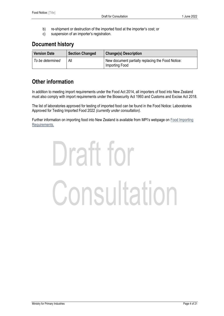- b) re-shipment or destruction of the imported food at the importer's cost; or
- c) suspension of an importer's registration.

# **Document history**

| <b>Version Date</b> | <b>Section Changed</b> | <b>Change(s) Description</b>                                        |
|---------------------|------------------------|---------------------------------------------------------------------|
| To be determined    | All                    | New document partially replacing the Food Notice:<br>Importing Food |

# **Other information**

In addition to meeting import requirements under the Food Act 2014, all importers of food into New Zealand must also comply with import requirements under the Biosecurity Act 1993 and Customs and Excise Act 2018.

The list of laboratories approved for testing of imported food can be found in the Food Notice: Laboratories Approved for Testing Imported Food 2022 *(currently under consultation).*

Further information on importing food into New Zealand is available from MPI's webpage on [Food Importing](https://www.mpi.govt.nz/import/food/food-importing-requirements/)  [Requirements.](https://www.mpi.govt.nz/import/food/food-importing-requirements/)

# Draft for Consultation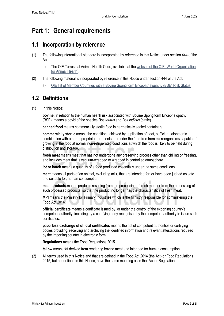# <span id="page-5-0"></span>**Part 1: General requirements**

### <span id="page-5-1"></span>**1.1 Incorporation by reference**

- (1) The following international standard is incorporated by reference in this Notice under section 444 of the Act:
	- a) The OIE Terrestrial Animal Health Code, available at the website of the OIE (World Organisation [for Animal Health\)](https://www.oie.int/en/what-we-do/standards/codes-and-manuals/).
- (2) The following material is incorporated by reference in this Notice under section 444 of the Act:
	- a) [OIE list of Member Countries with a Bovine Spongiform Encepathalopathy \(BSE\)](https://www.oie.int/en/disease/bovine-spongiform-encephalopathy/#ui-id-2) Risk Status.

# <span id="page-5-2"></span>**1.2 Definitions**

(1) In this Notice:

**bovine,** in relation to the human health risk associated with Bovine Spongiform Encephalopathy (BSE), means a bovid of the species *Bos taurus* and *Bos indicus* (cattle)*.*

**canned food** means commercially sterile food in hermetically sealed containers.

**commercially sterile** means the condition achieved by application of heat, sufficient, alone or in combination with other appropriate treatments, to render the food free from microorganisms capable of growing in the food at normal non-refrigerated conditions at which the food is likely to be held during distribution and storage.

**fresh meat** means meat that has not undergone any preserving process other than chilling or freezing, and includes meat that is vacuum-wrapped or wrapped in controlled atmosphere.

**lot or batch** means a quantity of a food produced essentially under the same conditions.

**meat** means all parts of an animal, excluding milk, that are intended for, or have been judged as safe and suitable for, human consumption.

**meat products** means products resulting from the processing of fresh meat or from the processing of such processed products, so that the product no longer has the characteristics of fresh meat.

**MPI** means the Ministry for Primary Industries which is the Ministry responsible for administering the Food Act 2014.

**official certificate** means a certificate issued by, or under the control of the exporting country's competent authority, including by a certifying body recognised by the competent authority to issue such certificates.

**paperless exchange of official certificates** means the act of competent authorities or certifying bodies providing, receiving and archiving the identified information and relevant attestations required by the importing country in electronic form.

**Regulations** means the Food Regulations 2015.

**tallow** means fat derived from rendering bovine meat and intended for human consumption.

(2) All terms used in this Notice and that are defined in the Food Act 2014 (the Act) or Food Regulations 2015, but not defined in this Notice, have the same meaning as in that Act or Regulations.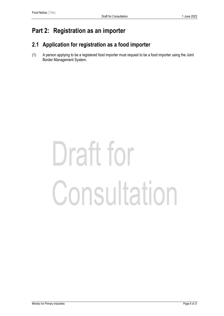# <span id="page-6-0"></span>**Part 2: Registration as an importer**

# <span id="page-6-1"></span>**2.1 Application for registration as a food importer**

(1) A person applying to be a registered food importer must request to be a food importer using the Joint Border Management System.

# Draft for Consultation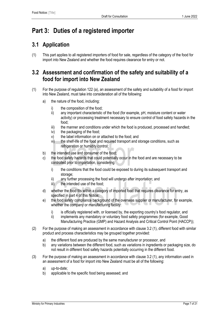# <span id="page-7-0"></span>**Part 3: Duties of a registered importer**

# <span id="page-7-1"></span>**3.1 Application**

(1) This part applies to all registered importers of food for sale, regardless of the category of the food for import into New Zealand and whether the food requires clearance for entry or not.

# <span id="page-7-2"></span>**3.2 Assessment and confirmation of the safety and suitability of a food for import into New Zealand**

- (1) For the purpose of regulation 122 (a), an assessment of the safety and suitability of a food for import into New Zealand, must take into consideration all of the following:
	- a) the nature of the food, including:
		- i) the composition of the food;
		- ii) any important characteristic of the food (for example, pH, moisture content or water activity) or processing treatment necessary to ensure control of food safety hazards in the food;
		- iii) the manner and conditions under which the food is produced, processed and handled;
		- iv) the packaging of the food;
		- v) the label information on or attached to the food; and
		- vi) the shelf-life of the food and required transport and storage conditions, such as refrigeration or humidity control:
	- b) the intended use and consumer of the food;
	- c) the food safety hazards that could potentially occur in the food and are necessary to be controlled prior to importation, considering:
		- i) the conditions that the food could be exposed to during its subsequent transport and storage:
		- ii) any further processing the food will undergo after importation; and
		- iii) the intended use of the food:
	- d) whether the food fits within a category of imported food that requires clearance for entry, as specified in part 4 of this Notice;
	- e) the food safety compliance background of the overseas supplier or manufacturer, for example, whether the company or manufacturing facility:
		- i) is officially registered with, or licensed by, the exporting country's food regulator, and
		- ii) implements any mandatory or voluntary food safety programmes (for example, Good Manufacturing Practice (GMP) and Hazard Analysis and Critical Control Point (HACCP));
- (2) For the purpose of making an assessment in accordance with clause 3.2 (1), different food with similar product and process characteristics may be grouped together provided:
	- a) the different food are produced by the same manufacturer or processor, and
	- b) any variations between the different food, such as variations in ingredients or packaging size, do not result in different food safety hazards potentially occurring in the different food.
- (3) For the purpose of making an assessment in accordance with clause 3.2 (1), any information used in an assessment of a food for import into New Zealand must be all of the following:
	- a) up-to-date;
	- b) applicable to the specific food being assessed; and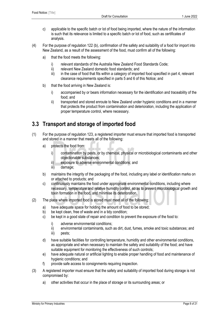- c) applicable to the specific batch or lot of food being imported, where the nature of the information is such that its relevance is limited to a specific batch or lot of food, such as certificates of analysis.
- (4) For the purpose of regulation 122 (b), confirmation of the safety and suitability of a food for import into New Zealand, as a result of the assessment of the food, must confirm all of the following:
	- a) that the food meets the following:
		- i) relevant standards of the Australia New Zealand Food Standards Code;
		- ii) relevant New Zealand domestic food standards; and
		- iii) in the case of food that fits within a category of imported food specified in part 4, relevant clearance requirements specified in parts 5 and 6 of this Notice; and
	- b) that the food arriving in New Zealand is:
		- i) accompanied by or bears information necessary for the identification and traceability of the food; and
		- ii) transported and stored enroute to New Zealand under hygienic conditions and in a manner that protects the product from contamination and deterioration, including the application of proper temperature control, where necessary.

# <span id="page-8-0"></span>**3.3 Transport and storage of imported food**

- (1) For the purpose of regulation 123, a registered importer must ensure that imported food is transported and stored in a manner that meets all of the following:
	- a) protects the food from:
		- i) contamination by pests, or by chemical, physical or microbiological contaminants and other objectionable substances;
		- ii) exposure to adverse environmental conditions; and
		- iii) damage;
	- b) maintains the integrity of the packaging of the food, including any label or identification marks on or attached to products; and
	- c) continuously maintains the food under appropriate environmental conditions, including where necessary, temperature and relative humidity control, so as to prevent microbiological growth and toxin formation in the food, and minimise its deterioration.
- (2) The place where imported food is stored must meet all of the following:
	- a) have adequate space for holding the amount of food to be stored;
	- b) be kept clean, free of waste and in a tidy condition;
	- c) be kept in a good state of repair and condition to prevent the exposure of the food to:
		- i) adverse environmental conditions;
		- ii) environmental contaminants, such as dirt, dust, fumes, smoke and toxic substances; and
		- iii) pests;
	- d) have suitable facilities for controlling temperature, humidity and other environmental conditions, as appropriate and when necessary to maintain the safety and suitability of the food; and have suitable equipment for monitoring the effectiveness of such controls;
	- e) have adequate natural or artificial lighting to enable proper handling of food and maintenance of hygienic conditions; and
	- f) provide safe access to consignments requiring inspection.
- (3) A registered importer must ensure that the safety and suitability of imported food during storage is not compromised by:
	- a) other activities that occur in the place of storage or its surrounding areas; or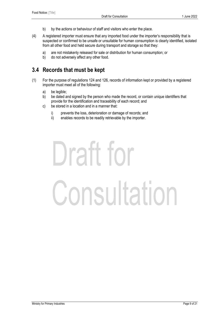- b) by the actions or behaviour of staff and visitors who enter the place.
- (4) A registered importer must ensure that any imported food under the importer's responsibility that is suspected or confirmed to be unsafe or unsuitable for human consumption is clearly identified, isolated from all other food and held secure during transport and storage so that they:
	- a) are not mistakenly released for sale or distribution for human consumption; or
	- b) do not adversely affect any other food.

### <span id="page-9-0"></span>**3.4 Records that must be kept**

- (1) For the purpose of regulations 124 and 126, records of information kept or provided by a registered importer must meet all of the following:
	- a) be legible;
	- b) be dated and signed by the person who made the record, or contain unique identifiers that provide for the identification and traceability of each record; and
	- c) be stored in a location and in a manner that:
		- i) prevents the loss, deterioration or damage of records; and
		- ii) enables records to be readily retrievable by the importer.

# Draft for Consultation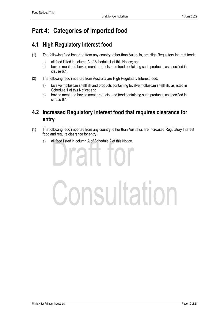# <span id="page-10-0"></span>**Part 4: Categories of imported food**

# <span id="page-10-1"></span>**4.1 High Regulatory Interest food**

- (1) The following food imported from any country, other than Australia, are High Regulatory Interest food:
	- a) all food listed in column A of Schedule 1 of this Notice; and
	- b) bovine meat and bovine meat products, and food containing such products, as specified in clause 6.1.
- (2) The following food imported from Australia are High Regulatory Interest food:
	- a) bivalve molluscan shellfish and products containing bivalve molluscan shellfish, as listed in Schedule 1 of this Notice; and
	- b) bovine meat and bovine meat products, and food containing such products, as specified in clause 6.1.

# <span id="page-10-2"></span>**4.2 Increased Regulatory Interest food that requires clearance for entry**

- (1) The following food imported from any country, other than Australia, are Increased Regulatory Interest food and require clearance for entry:
	- a) all food listed in column A of Schedule 2 of this Notice.

**PITT** 

# Consultation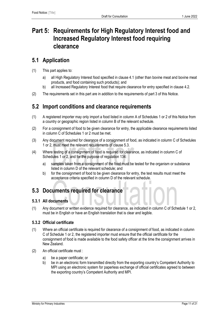# <span id="page-11-0"></span>**Part 5: Requirements for High Regulatory Interest food and Increased Regulatory Interest food requiring clearance**

### <span id="page-11-1"></span>**5.1 Application**

- (1) This part applies to:
	- a) all High Regulatory Interest food specified in clause 4.1 (other than bovine meat and bovine meat products, and food containing such products); and
	- b) all Increased Regulatory Interest food that require clearance for entry specified in clause 4.2.
- <span id="page-11-2"></span>(2) The requirements set in this part are in addition to the requirements of part 3 of this Notice.

#### **5.2 Import conditions and clearance requirements**

- (1) A registered importer may only import a food listed in column A of Schedules 1 or 2 of this Notice from a country or geographic region listed in column B of the relevant schedule.
- (2) For a consignment of food to be given clearance for entry, the applicable clearance requirements listed in column C of Schedules 1 or 2 must be met.
- (3) Any document required for clearance of a consignment of food, as indicated in column C of Schedules 1 or 2, must meet the relevant requirements of clause 5.3.
- (4) Where testing of a consignment of food is required for clearance, as indicated in column C of Schedules 1 or 2, and for the purpose of regulation 134:
	- a) samples taken from a consignment of the food must be tested for the organism or substance listed in column D of the relevant schedule; and
	- b) for the consignment of food to be given clearance for entry, the test results must meet the acceptance criteria specified in column D of the relevant schedule.

### <span id="page-11-3"></span>**5.3 Documents required for clearance**

#### **5.3.1 All documents**

(1) Any document or written evidence required for clearance, as indicated in column C of Schedule 1 or 2, must be in English or have an English translation that is clear and legible.

#### **5.3.2 Official certificate**

- (1) Where an official certificate is required for clearance of a consignment of food, as indicated in column C of Schedule 1 or 2, the registered importer must ensure that the official certificate for the consignment of food is made available to the food safety officer at the time the consignment arrives in New Zealand.
- (2) An official certificate must :
	- a) be a paper certificate; or
	- b) be in an electronic form transmitted directly from the exporting country's Competent Authority to MPI using an electronic system for paperless exchange of official certificates agreed to between the exporting country's Competent Authority and MPI.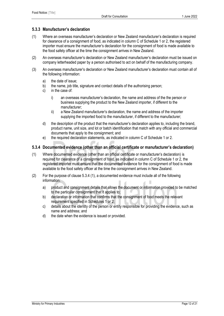#### **5.3.3 Manufacturer's declaration**

- (1) Where an overseas manufacturer's declaration or New Zealand manufacturer's declaration is required for clearance of a consignment of food, as indicated in column C of Schedule 1 or 2, the registered importer must ensure the manufacturer's declaration for the consignment of food is made available to the food safety officer at the time the consignment arrives in New Zealand.
- (2) An overseas manufacturer's declaration or New Zealand manufacturer's declaration must be issued on company letterheaded paper by a person authorised to act on behalf of the manufacturing company.
- (3) An overseas manufacturer's declaration or New Zealand manufacturer's declaration must contain all of the following information:
	- a) the date of issue;
	- b) the name, job title, signature and contact details of the authorising person;
	- c) in the case of:
		- i) an overseas manufacturer's declaration, the name and address of the the person or business supplying the product to the New Zealand importer, if different to the manufacturer;
		- ii) a New Zealand manufacturer's declaration, the name and address of the importer supplying the imported food to the manufacturer, if different to the manufacturer;
	- d) the description of the product that the manufacturer's declaration applies to, including the brand, product name, unit size, and lot or batch identification that match with any official and commercial documents that apply to the consignment; and
	- e) the required declaration statements, as indicated in column C of Schedule 1 or 2.

#### **5.3.4 Documented evidence (other than an official certificate or manufacturer's declaration)**

- (1) Where documented evidence (other than an official certificate or manufacturer's declaration) is required for clearance of a consignment of food, as indicated in column C of Schedule 1 or 2, the registered importer must ensure that the documented evidence for the consignment of food is made available to the food safety officer at the time the consignment arrives in New Zealand.
- (2) For the purpose of clause 5.3.4 (1), a documented evidence must include all of the following information:
	- a) product and consignment details that allows the document or information provided to be matched to the particular consignment that it applies to;
	- b) declaration or information that confirms that the consignment of food meets the relevant requirement specified in Schedules 1 or 2;
	- c) details about the identity of the person or entity responsible for providing the evidence, such as name and address; and
	- d) the date when the evidence is issued or provided.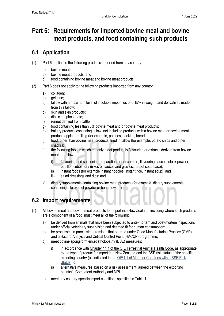# <span id="page-13-0"></span>**Part 6: Requirements for imported bovine meat and bovine meat products, and food containing such products**

# <span id="page-13-1"></span>**6.1 Application**

- (1) Part 6 applies to the following products imported from any country:
	- a) bovine meat;
	- b) bovine meat products; and
	- c) food containing bovine meat and bovine meat products.
- (2) Part 6 does not apply to the following products imported from any country:
	- a) collagen;
	- b) gelatine;
	- c) tallow with a maximum level of insoluble impurities of 0.15% in weight, and derivatives made from this tallow;
	- d) skin and skin products;
	- e) dicalcium phosphate;
	- f) rennet derived from cattle;
	- g) food containing less than 5% bovine meat and/or bovine meat products;
	- h) bakery products containing tallow, not including products with a bovine meat or bovine meat product topping or filling (for example, pastries, cookies, breads);
	- i) food, other than bovine meat products, fried in tallow (for example, potato chips and other snacks);
	- j) the following food in which the only meat product is flavouring or extracts derived from bovine meat, or tallow:
		- i) flavouring and seasoning preparations (for example, flavouring sauces, stock powder, bouillon cubes, dry mixes of sauces and gravies, hotpot soup base);
		- ii) instant foods (for example instant noodles, instant rice, instant soup); and
		- iii) salad dressings and dips; and
	- k) dietary supplements containing bovine meat products (for example, dietary supplements containing bile extract powder or bone powder).

# <span id="page-13-2"></span>**6.2 Import requirements**

- (1) All bovine meat and bovine meat products for import into New Zealand, including where such products are a component of a food, must meet all of the following:
	- a) be derived from animals that have been subjected to ante-mortem and post-mortem inspections under official veterinary supervision and deemed fit for human consumption;
	- b) be processed in processing premises that operate under Good Manufacturing Practice (GMP) and a Hazard Analysis and Critical Control Point (HACCP) programme;
	- c) meet bovine spongiform encepatholopathy (BSE) measures:
		- i) in accordance with [Chapter 11.4 of the OIE Terrestrial Animal Health Code,](https://www.oie.int/index.php?id=169&L=0&htmfile=chapitre_bse.htm) as appropriate to the type of product for import into New Zealand and the BSE risk status of the specific exporting country (as indicated in the OIE list of Member Countries with a BSE Risk [Status\)](https://www.oie.int/en/disease/bovine-spongiform-encephalopathy/#ui-id-2); or
		- ii) alternative measures, based on a risk assessment, agreed between the exporting country's Competent Authority and MPI.
	- d) meet any country-specific import conditions specified in Table 1.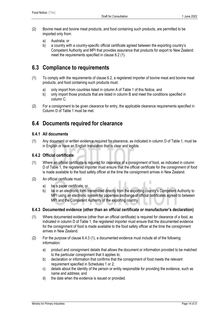- (2) Bovine meat and bovine meat products, and food containing such products, are permitted to be imported only from:
	- a) Australia; or
	- b) a country with a country-specific official certificate agreed between the exporting country's Competent Authority and MPI that provides assurance that products for export to New Zealand meet the requirements specified in clause 6.2 (1).

# <span id="page-14-0"></span>**6.3 Compliance to requirements**

- (1) To comply with the requirements of clause 6.2, a registered importer of bovine meat and bovine meat products, and food containing such products must:
	- a) only import from countries listed in column A of Table 1 of this Notice, and
	- b) only import those products that are listed in column B and meet the conditions specified in column C.
- (2) For a consignment to be given clearance for entry, the applicable clearance requirements specified in Column D of Table 1 must be met.

# <span id="page-14-1"></span>**6.4 Documents required for clearance**

#### **6.4.1 All documents**

(1) Any document or written evidence required for clearance, as indicated in column D of Table 1, must be in English or have an English translation that is clear and legible.

#### **6.4.2 Official certificate**

- (1) Where an official certificate is required for clearance of a consignment of food, as indicated in column D of Table 1, the registered importer must ensure that the official certificate for the consignment of food is made available to the food safety officer at the time the consignment arrives in New Zealand.
- (2) An official certificate must:
	- a) be a paper certificate; or
	- b) be in an electronic form transmitted directly from the exporting country's Competent Authority to MPI using an electronic system for paperless exchange of official certificates agreed to between MPI and the Competent Authority of the exporting country.

#### **6.4.3 Documented evidence (other than an official certificate or manufacturer's declaration)**

- (1) Where documented evidence (other than an official certificate) is required for clearance of a food, as indicated in column D of Table 1, the registered importer must ensure that the documented evidence for the consignment of food is made available to the food safety officer at the time the consignment arrives in New Zealand.
- (2) For the purpose of clause 6.4.3 (1), a documented evidence must include all of the following information:
	- a) product and consignment details that allows the document or information provided to be matched to the particular consignment that it applies to;
	- b) declaration or information that confirms that the consignment of food meets the relevant requirement specified in Schedules 1 or 2;
	- c) details about the identity of the person or entity responsible for providing the evidence, such as name and address; and
	- d) the date when the evidence is issued or provided.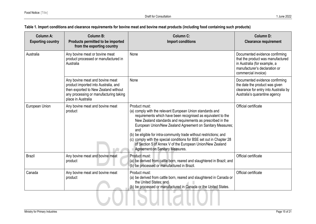#### **Table 1. Import conditions and clearance requirements for bovine meat and bovine meat products (including food containing such products)**

| <b>Column A:</b><br><b>Exporting country</b> | <b>Column B:</b><br>Products permitted to be imported<br>from the exporting country                                                                                             | <b>Column C:</b><br><b>Import conditions</b>                                                                                                                                                                                                                                                                                                                                                                                                                                                                                         | <b>Column D:</b><br><b>Clearance requirement</b>                                                                                                            |
|----------------------------------------------|---------------------------------------------------------------------------------------------------------------------------------------------------------------------------------|--------------------------------------------------------------------------------------------------------------------------------------------------------------------------------------------------------------------------------------------------------------------------------------------------------------------------------------------------------------------------------------------------------------------------------------------------------------------------------------------------------------------------------------|-------------------------------------------------------------------------------------------------------------------------------------------------------------|
| Australia                                    | Any bovine meat or bovine meat<br>product processed or manufactured in<br>Australia                                                                                             | None                                                                                                                                                                                                                                                                                                                                                                                                                                                                                                                                 | Documented evidence confirming<br>that the product was manufactured<br>in Australia (for example, a<br>manufacturer's declaration or<br>commercial invoice) |
|                                              | Any bovine meat and bovine meat<br>product imported into Australia, and<br>then exported to New Zealand without<br>any processing or manufacturing taking<br>place in Australia | None                                                                                                                                                                                                                                                                                                                                                                                                                                                                                                                                 | Documented evidence confirming<br>the date the product was given<br>clearance for entry into Australia by<br>Australia's quarantine agency                  |
| European Union                               | Any bovine meat and bovine meat<br>product                                                                                                                                      | Product must:<br>(a) comply with the relevant European Union standards and<br>requirements which have been recognised as equivalent to the<br>New Zealand standards and requirements as prescribed in the<br>European Union/New Zealand Agreement on Sanitary Measures;<br>and<br>(b) be eligible for intra-community trade without restrictions; and<br>(c) comply with the special conditions for BSE set out in Chapter 28<br>of Section 5 of Annex V of the European Union/New Zealand<br><b>Agreement on Sanitary Measures.</b> | Official certificate                                                                                                                                        |
| <b>Brazil</b>                                | Any bovine meat and bovine meat<br>product                                                                                                                                      | Product must:<br>(a) be derived from cattle born, reared and slaughtered in Brazil; and<br>(b) be processed or manufactured in Brazil.                                                                                                                                                                                                                                                                                                                                                                                               | Official certificate                                                                                                                                        |
| Canada                                       | Any bovine meat and bovine meat<br>product                                                                                                                                      | Product must:<br>(a) be derived from cattle born, reared and slaughtered in Canada or<br>the United States; and<br>(b) be processed or manufactured in Canada or the United States.                                                                                                                                                                                                                                                                                                                                                  | Official certificate                                                                                                                                        |
|                                              |                                                                                                                                                                                 |                                                                                                                                                                                                                                                                                                                                                                                                                                                                                                                                      |                                                                                                                                                             |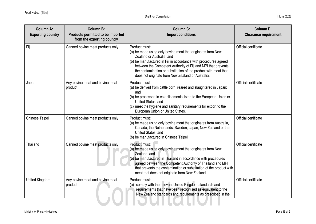| <b>Column A:</b><br><b>Exporting country</b> | <b>Column B:</b><br>Products permitted to be imported<br>from the exporting country | <b>Column C:</b><br><b>Import conditions</b>                                                                                                                                                                                                                                                                                                                           | <b>Column D:</b><br><b>Clearance requirement</b> |
|----------------------------------------------|-------------------------------------------------------------------------------------|------------------------------------------------------------------------------------------------------------------------------------------------------------------------------------------------------------------------------------------------------------------------------------------------------------------------------------------------------------------------|--------------------------------------------------|
| Fiji                                         | Canned bovine meat products only                                                    | Product must:<br>(a) be made using only bovine meat that originates from New<br>Zealand or Australia; and<br>(b) be manufactured in Fiji in accordance with procedures agreed<br>between the Competent Authority of Fiji and MPI that prevents<br>the contamination or substitution of the product with meat that<br>does not originate from New Zealand or Australia. | Official certificate                             |
| Japan                                        | Any bovine meat and bovine meat<br>product                                          | Product must:<br>(a) be derived from cattle born, reared and slaughtered in Japan;<br>and<br>(b) be processed in establishments listed to the European Union or<br>United States; and<br>(c) meet the hygiene and sanitary requirements for export to the<br>European Union or United States.                                                                          | Official certificate                             |
| Chinese Taipei                               | Canned bovine meat products only                                                    | Product must:<br>(a) be made using only bovine meat that originates from Australia,<br>Canada, the Netherlands, Sweden, Japan, New Zealand or the<br>United States; and<br>(b) be manufactured in Chinese Taipei.                                                                                                                                                      | Official certificate                             |
| Thailand                                     | Canned bovine meat products only                                                    | Product must:<br>(a) be made using only bovine meat that originates from New<br>Zealand; and<br>(b) be manufactured in Thailand in accordance with procedures<br>agreed between the Competent Authority of Thailand and MPI<br>that prevents the contamination or substitution of the product with<br>meat that does not originate from New Zealand.                   | Official certificate                             |
| United Kingdom                               | Any bovine meat and bovine meat<br>product                                          | Product must:<br>(a) comply with the relevant United Kingdom standards and<br>requirements that have been recognised as equivalent to the<br>New Zealand standards and requirements as prescribed in the                                                                                                                                                               | Official certificate                             |
|                                              |                                                                                     |                                                                                                                                                                                                                                                                                                                                                                        |                                                  |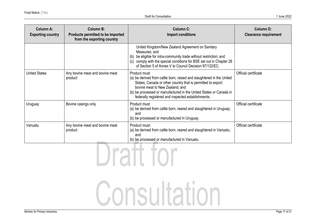| Column A:<br><b>Exporting country</b> | Column B:<br>Products permitted to be imported<br>from the exporting country | Column C:<br>Import conditions                                                                                                                                                                                                                                                                                       | Column D:<br><b>Clearance requirement</b> |  |
|---------------------------------------|------------------------------------------------------------------------------|----------------------------------------------------------------------------------------------------------------------------------------------------------------------------------------------------------------------------------------------------------------------------------------------------------------------|-------------------------------------------|--|
|                                       |                                                                              | United Kingdom/New Zealand Agreement on Sanitary<br>Measures; and<br>(b) be eligible for intra-community trade without restriction; and<br>(c) comply with the special conditions for BSE set out in Chapter 28<br>of Section 5 of Annex V to Council Decision 97/132/EC.                                            |                                           |  |
| <b>United States</b>                  | Any bovine meat and bovine meat<br>product                                   | Product must:<br>(a) be derived from cattle born, raised and slaughtered in the United<br>States, Canada or other country that is permitted to export<br>bovine meat to New Zealand; and<br>(b) be processed or manufactured in the United States or Canada in<br>federally registered and inspected establishments. | Official certificate                      |  |
| Uruguay                               | Bovine casings only                                                          | Product must:<br>(a) be derived from cattle born, reared and slaughtered in Uruguay;<br>and<br>(b) be processed or manufactured in Uruguay.                                                                                                                                                                          | Official certificate                      |  |
| Vanuatu                               | Any bovine meat and bovine meat<br>product                                   | Product must:<br>(a) be derived from cattle born, reared and slaughtered in Vanuatu;<br>and<br>(b) be processed or manufactured in Vanuatu.                                                                                                                                                                          | Official certificate                      |  |
|                                       |                                                                              |                                                                                                                                                                                                                                                                                                                      |                                           |  |

Consultation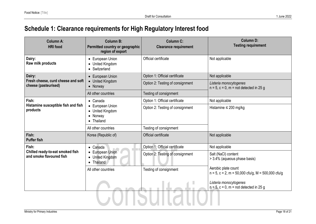# **Schedule 1: Clearance requirements for High Regulatory Interest food**

<span id="page-18-0"></span>

| Column A:<br><b>HRI</b> food                                 | <b>Column B:</b><br>Permitted country or geographic<br>region of export | <b>Column C:</b><br><b>Clearance requirement</b> | <b>Column D:</b><br><b>Testing requirement</b>                                     |
|--------------------------------------------------------------|-------------------------------------------------------------------------|--------------------------------------------------|------------------------------------------------------------------------------------|
| Dairy:<br>Raw milk products                                  | • European Union<br><b>United Kingdom</b><br>$\bullet$<br>• Switzerland | Official certificate                             | Not applicable                                                                     |
| Dairy:                                                       | • European Union                                                        | Option 1: Official certificate                   | Not applicable                                                                     |
| Fresh cheese, curd cheese and soft<br>cheese (pasteurised)   | • United Kingdom<br>• Norway                                            | Option 2: Testing of consignment                 | Listeria monocytogenes<br>$n = 5$ , $c = 0$ , $m = not detected in 25 g$           |
|                                                              | All other countries                                                     | Testing of consignment                           |                                                                                    |
| Fish:                                                        | $\bullet$ Canada                                                        | Option 1: Official certificate                   | Not applicable                                                                     |
| Histamine susceptible fish and fish<br>products              | • European Union<br>• United Kingdom<br>• Norway<br>• Thailand          | Option 2: Testing of consignment                 | Histamine $\leq 200$ mg/kg                                                         |
|                                                              | All other countries                                                     | Testing of consignment                           |                                                                                    |
| Fish:<br><b>Puffer fish</b>                                  | Korea (Republic of)                                                     | Official certificate                             | Not applicable                                                                     |
| Fish:                                                        | $\bullet$ Canada                                                        | Option 1: Official certificate                   | Not applicable                                                                     |
| Chilled ready-to-eat smoked fish<br>and smoke flavoured fish | European Union<br>• United Kingdom<br>• Thailand                        | Option 2: Testing of consignment                 | Salt (NaCl) content<br>> 3.4% (aqueous phase basis)                                |
|                                                              | All other countries                                                     | Testing of consignment                           | Aerobic plate count<br>$n = 5$ , $c = 2$ , $m = 50,000$ cfu/g, $M = 500,000$ cfu/g |
|                                                              |                                                                         |                                                  | Listeria monocytogenes<br>$n = 5$ , $c = 0$ , $m = not detected in 25 g$           |
|                                                              |                                                                         |                                                  |                                                                                    |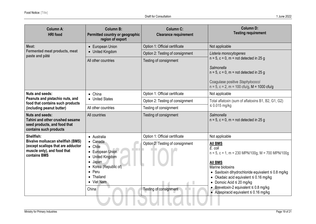| Column A:<br><b>HRI</b> food                                                                                        | <b>Column B:</b><br>Permitted country or geographic<br>region of export | <b>Column C:</b><br><b>Clearance requirement</b> | <b>Column D:</b><br><b>Testing requirement</b>                                                                                                                 |
|---------------------------------------------------------------------------------------------------------------------|-------------------------------------------------------------------------|--------------------------------------------------|----------------------------------------------------------------------------------------------------------------------------------------------------------------|
| Meat:                                                                                                               | • European Union                                                        | Option 1: Official certificate                   | Not applicable                                                                                                                                                 |
| <b>Fermented meat products, meat</b><br>paste and pâté                                                              | • United Kingdom                                                        | Option 2: Testing of consignment                 | Listeria monocytogenes                                                                                                                                         |
|                                                                                                                     | All other countries                                                     | Testing of consignment                           | $n = 5$ , $c = 0$ , $m = not detected in 25 g$                                                                                                                 |
|                                                                                                                     |                                                                         |                                                  | <b>Salmonella</b><br>$n = 5$ , $c = 0$ , $m = not detected in 25 g$<br>Coagulase positive Staphylococci<br>$n = 5$ , $c = 2$ , $m = 100$ cfu/g, M = 1000 cfu/g |
| Nuts and seeds:                                                                                                     | $\bullet$ China                                                         | Option 1: Official certificate                   | Not applicable                                                                                                                                                 |
| Peanuts and pistachio nuts, and<br>food that contains such products                                                 | • United States                                                         | Option 2: Testing of consignment                 | Total aflatoxin (sum of aflatoxins B1, B2, G1, G2)                                                                                                             |
| (including peanut butter)                                                                                           | All other countries                                                     | Testing of consignment                           | $\leq 0.015$ mg/kg                                                                                                                                             |
| <b>Nuts and seeds:</b><br>Tahini and other crushed sesame<br>seed products, and food that<br>contains such products | All countries                                                           | Testing of consignment                           | <b>Salmonella</b><br>$n = 5$ , $c = 0$ , $m = not detected in 25 g$                                                                                            |
| Shellfish:                                                                                                          | • Australia                                                             | Option 1: Official certificate                   | Not applicable                                                                                                                                                 |
| Bivalve molluscan shellfish (BMS)<br>(except scallops that are adductor                                             | $\bullet$ Canada<br>• Chile                                             | Option 2: Testing of consignment                 | <b>All BMS</b>                                                                                                                                                 |
| muscle only), and food that                                                                                         | • European Union                                                        |                                                  | E. coli<br>$n = 5$ , c = 1, m = 230 MPN/100g, M = 700 MPN/100g                                                                                                 |
| contains BMS                                                                                                        | • United Kingdom                                                        |                                                  |                                                                                                                                                                |
|                                                                                                                     | Japan<br>$\bullet$<br>• Korea (Republic of)                             |                                                  | <b>All BMS</b><br>Marine biotoxins                                                                                                                             |
|                                                                                                                     | Peru<br>$\bullet$                                                       |                                                  | • Saxitoxin dihydrochloride equivalent $\leq 0.8$ mg/kg                                                                                                        |
|                                                                                                                     | • Thailand                                                              |                                                  | • Okadaic acid equivalent $\leq 0.16$ mg/kg                                                                                                                    |
|                                                                                                                     | • Viet Nam                                                              |                                                  | • Domoic Acid $\leq$ 20 mg/kg<br>• Brevetoxin-2 equivalent $\leq 0.8$ mg/kg                                                                                    |
|                                                                                                                     | China                                                                   | Testing of consignment                           | • Azaspiracid equivalent $\leq 0.16$ mg/kg                                                                                                                     |
|                                                                                                                     |                                                                         |                                                  |                                                                                                                                                                |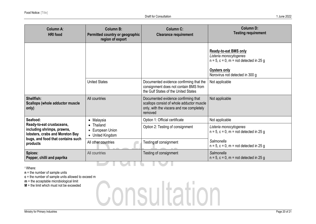| Column A:<br><b>HRI</b> food                                                               | Column B:<br>Permitted country or geographic<br>region of export | <b>Column C:</b><br><b>Clearance requirement</b>                                                                                         | <b>Column D:</b><br><b>Testing requirement</b>                                                                                                                     |
|--------------------------------------------------------------------------------------------|------------------------------------------------------------------|------------------------------------------------------------------------------------------------------------------------------------------|--------------------------------------------------------------------------------------------------------------------------------------------------------------------|
|                                                                                            |                                                                  |                                                                                                                                          | <b>Ready-to-eat BMS only</b><br>Listeria monocytogenes<br>$n = 5$ , $c = 0$ , $m = not detected in 25 g$<br><b>Oysters only</b><br>Norovirus not detected in 300 g |
|                                                                                            | <b>United States</b>                                             | Documented evidence confirming that the<br>consignment does not contain BMS from<br>the Gulf States of the United States                 | Not applicable                                                                                                                                                     |
| Shellfish:<br><b>Scallops (whole adductor muscle</b><br>only)                              | All countries                                                    | Documented evidence confirming that<br>scallops consist of whole adductor muscle<br>only, with the viscera and roe completely<br>removed | Not applicable                                                                                                                                                     |
| Seafood:                                                                                   | • Malaysia                                                       | Option 1: Official certificate                                                                                                           | Not applicable                                                                                                                                                     |
| Ready-to-eat crustaceans,<br>including shrimps, prawns,<br>lobsters, crabs and Moreton Bay | Thailand<br>European Union<br>• United Kingdom                   | Option 2: Testing of consignment                                                                                                         | Listeria monocytogenes<br>$n = 5$ , $c = 0$ , $m = not detected in 25 g$                                                                                           |
| bugs, and food that contains such<br>products                                              | All other countries                                              | Testing of consignment                                                                                                                   | Salmonella<br>$n = 5$ , $c = 0$ , $m = not detected in 25 g$                                                                                                       |
| Spices:<br>Pepper, chilli and paprika                                                      | All countries                                                    | Testing of consignment                                                                                                                   | Salmonella<br>$n = 5$ , $c = 0$ , $m = not detected in 25 g$                                                                                                       |
|                                                                                            |                                                                  |                                                                                                                                          |                                                                                                                                                                    |

<sup>1</sup>Where:

**n** = the number of sample units

**c** = the number of sample units allowed to exceed m

**m** = the acceptable microbiological limit

 $M =$  the limit which must not be exceeded